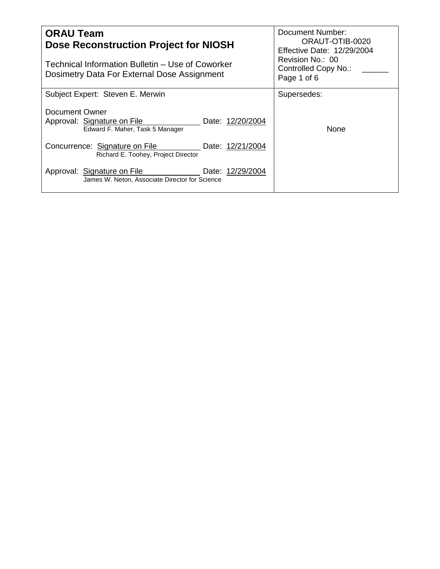| <b>ORAU Team</b><br><b>Dose Reconstruction Project for NIOSH</b><br>Technical Information Bulletin - Use of Coworker<br>Dosimetry Data For External Dose Assignment | Document Number:<br>ORAUT-OTIB-0020<br><b>Effective Date: 12/29/2004</b><br>Revision No.: 00<br>Controlled Copy No.:<br>Page 1 of 6 |  |
|---------------------------------------------------------------------------------------------------------------------------------------------------------------------|-------------------------------------------------------------------------------------------------------------------------------------|--|
| Subject Expert: Steven E. Merwin                                                                                                                                    | Supersedes:                                                                                                                         |  |
| Document Owner<br>Approval: Signature on File<br>Date: 12/20/2004<br>Edward F. Maher, Task 5 Manager                                                                | None                                                                                                                                |  |
| Concurrence: Signature on File<br>Date: 12/21/2004<br>Richard E. Toohey, Project Director                                                                           |                                                                                                                                     |  |
| Date: 12/29/2004<br>Approval: Signature on File<br>James W. Neton, Associate Director for Science                                                                   |                                                                                                                                     |  |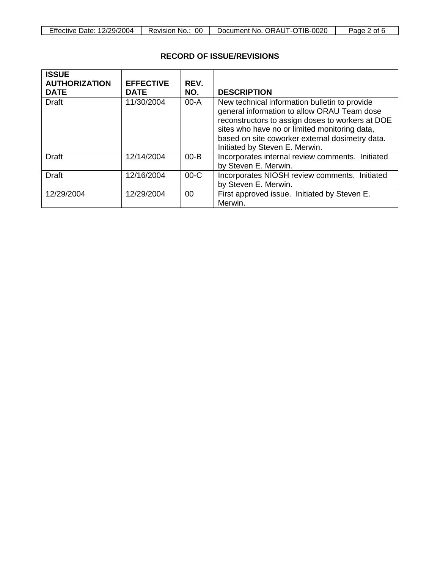| 12/29/2004<br>Effective Date: | 00<br>Revision<br>NO | Document No. ORAUT-OTIB-0020 | ot.<br>Page |
|-------------------------------|----------------------|------------------------------|-------------|

# **RECORD OF ISSUE/REVISIONS**

| <b>ISSUE</b><br><b>AUTHORIZATION</b><br><b>DATE</b> | <b>EFFECTIVE</b><br><b>DATE</b> | REV.<br>NO. | <b>DESCRIPTION</b>                                                                                                                                                                                                                                                                     |
|-----------------------------------------------------|---------------------------------|-------------|----------------------------------------------------------------------------------------------------------------------------------------------------------------------------------------------------------------------------------------------------------------------------------------|
| <b>Draft</b>                                        | 11/30/2004                      | $00-A$      | New technical information bulletin to provide<br>general information to allow ORAU Team dose<br>reconstructors to assign doses to workers at DOE<br>sites who have no or limited monitoring data,<br>based on site coworker external dosimetry data.<br>Initiated by Steven E. Merwin. |
| <b>Draft</b>                                        | 12/14/2004                      | $00 - B$    | Incorporates internal review comments. Initiated<br>by Steven E. Merwin.                                                                                                                                                                                                               |
| <b>Draft</b>                                        | 12/16/2004                      | $00-C$      | Incorporates NIOSH review comments. Initiated<br>by Steven E. Merwin.                                                                                                                                                                                                                  |
| 12/29/2004                                          | 12/29/2004                      | 00          | First approved issue. Initiated by Steven E.<br>Merwin.                                                                                                                                                                                                                                |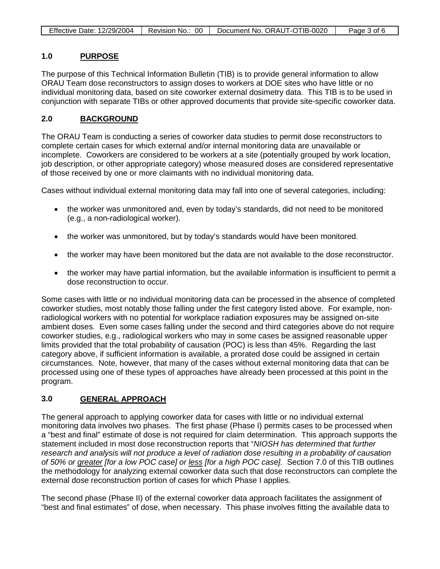| <b>Effective Date: 12/29/2004</b> | Revision No.: 00 | Document No. ORAUT-OTIB-0020 | Page 3 of 6 |
|-----------------------------------|------------------|------------------------------|-------------|

#### **1.0 PURPOSE**

The purpose of this Technical Information Bulletin (TIB) is to provide general information to allow ORAU Team dose reconstructors to assign doses to workers at DOE sites who have little or no individual monitoring data, based on site coworker external dosimetry data. This TIB is to be used in conjunction with separate TIBs or other approved documents that provide site-specific coworker data.

#### **2.0 BACKGROUND**

The ORAU Team is conducting a series of coworker data studies to permit dose reconstructors to complete certain cases for which external and/or internal monitoring data are unavailable or incomplete. Coworkers are considered to be workers at a site (potentially grouped by work location, job description, or other appropriate category) whose measured doses are considered representative of those received by one or more claimants with no individual monitoring data.

Cases without individual external monitoring data may fall into one of several categories, including:

- the worker was unmonitored and, even by today's standards, did not need to be monitored (e.g., a non-radiological worker).
- the worker was unmonitored, but by today's standards would have been monitored.
- the worker may have been monitored but the data are not available to the dose reconstructor.
- the worker may have partial information, but the available information is insufficient to permit a dose reconstruction to occur.

Some cases with little or no individual monitoring data can be processed in the absence of completed coworker studies, most notably those falling under the first category listed above. For example, nonradiological workers with no potential for workplace radiation exposures may be assigned on-site ambient doses. Even some cases falling under the second and third categories above do not require coworker studies, e.g., radiological workers who may in some cases be assigned reasonable upper limits provided that the total probability of causation (POC) is less than 45%. Regarding the last category above, if sufficient information is available, a prorated dose could be assigned in certain circumstances. Note, however, that many of the cases without external monitoring data that can be processed using one of these types of approaches have already been processed at this point in the program.

#### **3.0 GENERAL APPROACH**

The general approach to applying coworker data for cases with little or no individual external monitoring data involves two phases. The first phase (Phase I) permits cases to be processed when a "best and final" estimate of dose is not required for claim determination. This approach supports the statement included in most dose reconstruction reports that "*NIOSH has determined that further research and analysis will not produce a level of radiation dose resulting in a probability of causation of 50% or greater [for a low POC case] or less [for a high POC case].* Section 7.0 of this TIB outlines the methodology for analyzing external coworker data such that dose reconstructors can complete the external dose reconstruction portion of cases for which Phase I applies.

The second phase (Phase II) of the external coworker data approach facilitates the assignment of "best and final estimates" of dose, when necessary. This phase involves fitting the available data to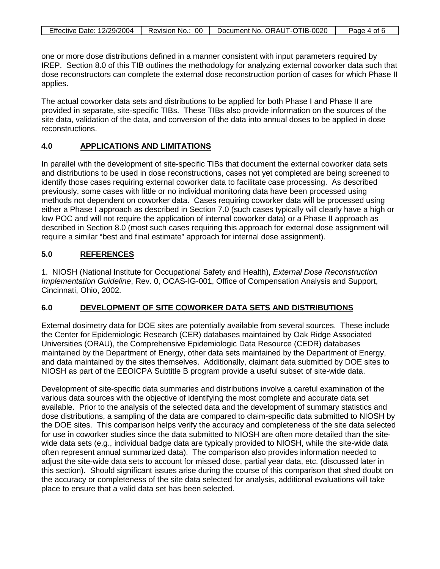| Effective Date: 12/29/2004   Revision No.: 00 | Document No. ORAUT-OTIB-0020 | Page 4 of 6 |
|-----------------------------------------------|------------------------------|-------------|

one or more dose distributions defined in a manner consistent with input parameters required by IREP. Section 8.0 of this TIB outlines the methodology for analyzing external coworker data such that dose reconstructors can complete the external dose reconstruction portion of cases for which Phase II applies.

The actual coworker data sets and distributions to be applied for both Phase I and Phase II are provided in separate, site-specific TIBs. These TIBs also provide information on the sources of the site data, validation of the data, and conversion of the data into annual doses to be applied in dose reconstructions.

#### **4.0 APPLICATIONS AND LIMITATIONS**

In parallel with the development of site-specific TIBs that document the external coworker data sets and distributions to be used in dose reconstructions, cases not yet completed are being screened to identify those cases requiring external coworker data to facilitate case processing. As described previously, some cases with little or no individual monitoring data have been processed using methods not dependent on coworker data. Cases requiring coworker data will be processed using either a Phase I approach as described in Section 7.0 (such cases typically will clearly have a high or low POC and will not require the application of internal coworker data) or a Phase II approach as described in Section 8.0 (most such cases requiring this approach for external dose assignment will require a similar "best and final estimate" approach for internal dose assignment).

#### **5.0 REFERENCES**

1. NIOSH (National Institute for Occupational Safety and Health), *External Dose Reconstruction Implementation Guideline*, Rev. 0, OCAS-IG-001, Office of Compensation Analysis and Support, Cincinnati, Ohio, 2002.

#### **6.0 DEVELOPMENT OF SITE COWORKER DATA SETS AND DISTRIBUTIONS**

External dosimetry data for DOE sites are potentially available from several sources. These include the Center for Epidemiologic Research (CER) databases maintained by Oak Ridge Associated Universities (ORAU), the Comprehensive Epidemiologic Data Resource (CEDR) databases maintained by the Department of Energy, other data sets maintained by the Department of Energy, and data maintained by the sites themselves. Additionally, claimant data submitted by DOE sites to NIOSH as part of the EEOICPA Subtitle B program provide a useful subset of site-wide data.

Development of site-specific data summaries and distributions involve a careful examination of the various data sources with the objective of identifying the most complete and accurate data set available. Prior to the analysis of the selected data and the development of summary statistics and dose distributions, a sampling of the data are compared to claim-specific data submitted to NIOSH by the DOE sites. This comparison helps verify the accuracy and completeness of the site data selected for use in coworker studies since the data submitted to NIOSH are often more detailed than the sitewide data sets (e.g., individual badge data are typically provided to NIOSH, while the site-wide data often represent annual summarized data). The comparison also provides information needed to adjust the site-wide data sets to account for missed dose, partial year data, etc. (discussed later in this section). Should significant issues arise during the course of this comparison that shed doubt on the accuracy or completeness of the site data selected for analysis, additional evaluations will take place to ensure that a valid data set has been selected.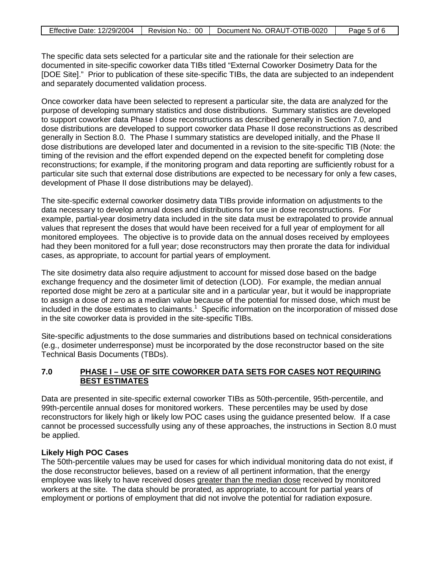| <b>Effective Date: 12/29/2004</b> | Revision No.: 00 | Document No. ORAUT-OTIB-0020 | Page 5 of 6 |
|-----------------------------------|------------------|------------------------------|-------------|

The specific data sets selected for a particular site and the rationale for their selection are documented in site-specific coworker data TIBs titled "External Coworker Dosimetry Data for the [DOE Site]." Prior to publication of these site-specific TIBs, the data are subjected to an independent and separately documented validation process.

Once coworker data have been selected to represent a particular site, the data are analyzed for the purpose of developing summary statistics and dose distributions. Summary statistics are developed to support coworker data Phase I dose reconstructions as described generally in Section 7.0, and dose distributions are developed to support coworker data Phase II dose reconstructions as described generally in Section 8.0. The Phase I summary statistics are developed initially, and the Phase II dose distributions are developed later and documented in a revision to the site-specific TIB (Note: the timing of the revision and the effort expended depend on the expected benefit for completing dose reconstructions; for example, if the monitoring program and data reporting are sufficiently robust for a particular site such that external dose distributions are expected to be necessary for only a few cases, development of Phase II dose distributions may be delayed).

The site-specific external coworker dosimetry data TIBs provide information on adjustments to the data necessary to develop annual doses and distributions for use in dose reconstructions. For example, partial-year dosimetry data included in the site data must be extrapolated to provide annual values that represent the doses that would have been received for a full year of employment for all monitored employees. The objective is to provide data on the annual doses received by employees had they been monitored for a full year; dose reconstructors may then prorate the data for individual cases, as appropriate, to account for partial years of employment.

The site dosimetry data also require adjustment to account for missed dose based on the badge exchange frequency and the dosimeter limit of detection (LOD). For example, the median annual reported dose might be zero at a particular site and in a particular year, but it would be inappropriate to assign a dose of zero as a median value because of the potential for missed dose, which must be included in the dose estimates to claimants.<sup>1</sup> Specific information on the incorporation of missed dose in the site coworker data is provided in the site-specific TIBs.

Site-specific adjustments to the dose summaries and distributions based on technical considerations (e.g., dosimeter underresponse) must be incorporated by the dose reconstructor based on the site Technical Basis Documents (TBDs).

### **7.0 PHASE I – USE OF SITE COWORKER DATA SETS FOR CASES NOT REQUIRING BEST ESTIMATES**

Data are presented in site-specific external coworker TIBs as 50th-percentile, 95th-percentile, and 99th-percentile annual doses for monitored workers. These percentiles may be used by dose reconstructors for likely high or likely low POC cases using the guidance presented below. If a case cannot be processed successfully using any of these approaches, the instructions in Section 8.0 must be applied.

## **Likely High POC Cases**

The 50th-percentile values may be used for cases for which individual monitoring data do not exist, if the dose reconstructor believes, based on a review of all pertinent information, that the energy employee was likely to have received doses greater than the median dose received by monitored workers at the site. The data should be prorated, as appropriate, to account for partial years of employment or portions of employment that did not involve the potential for radiation exposure.